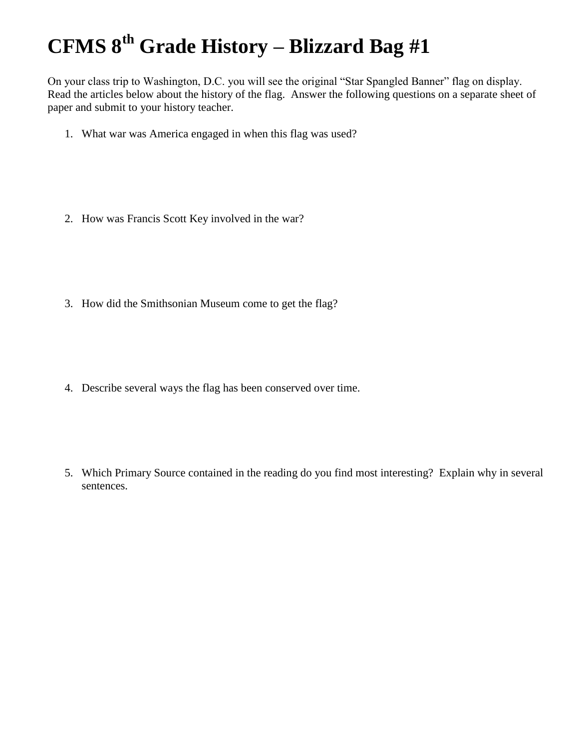## **CFMS 8th Grade History – Blizzard Bag #1**

On your class trip to Washington, D.C. you will see the original "Star Spangled Banner" flag on display. Read the articles below about the history of the flag. Answer the following questions on a separate sheet of paper and submit to your history teacher.

- 1. What war was America engaged in when this flag was used?
- 2. How was Francis Scott Key involved in the war?
- 3. How did the Smithsonian Museum come to get the flag?
- 4. Describe several ways the flag has been conserved over time.
- 5. Which Primary Source contained in the reading do you find most interesting? Explain why in several sentences.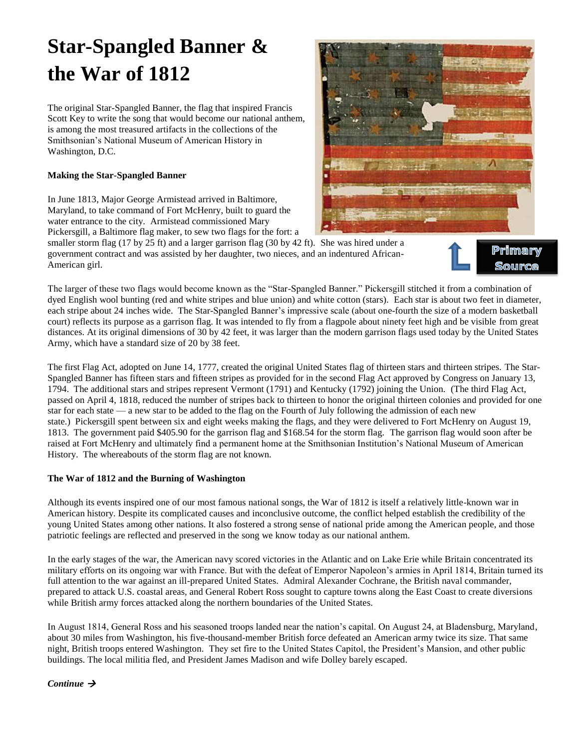# **Star-Spangled Banner & the War of 1812**

The original Star-Spangled Banner, the flag that inspired Francis Scott Key to write the song that would become our national anthem, is among the most treasured artifacts in the collections of the Smithsonian's National Museum of American History in Washington, D.C.

## **Making the Star-Spangled Banner**

In June 1813, Major George Armistead arrived in Baltimore, Maryland, to take command of Fort McHenry, built to guard the water entrance to the city. Armistead commissioned Mary Pickersgill, a Baltimore flag maker, to sew two flags for the fort: a



smaller storm flag (17 by 25 ft) and a larger garrison flag (30 by 42 ft). She was hired under a government contract and was assisted by her daughter, two nieces, and an indentured African-American girl.



Primary

The larger of these two flags would become known as the "Star-Spangled Banner." Pickersgill stitched it from a combination of dyed English wool bunting (red and white stripes and blue union) and white cotton (stars). Each star is about two feet in diameter, each stripe about 24 inches wide. The Star-Spangled Banner's impressive scale (about one-fourth the size of a modern basketball court) reflects its purpose as a garrison flag. It was intended to fly from a flagpole about ninety feet high and be visible from great distances. At its original dimensions of 30 by 42 feet, it was larger than the modern garrison flags used today by the United States Army, which have a standard size of 20 by 38 feet.

The first Flag Act, adopted on June 14, 1777, created the original United States flag of thirteen stars and thirteen stripes. The Star-Spangled Banner has fifteen stars and fifteen stripes as provided for in the second Flag Act approved by Congress on January 13, 1794. The additional stars and stripes represent Vermont (1791) and Kentucky (1792) joining the Union. (The third Flag Act, passed on April 4, 1818, reduced the number of stripes back to thirteen to honor the original thirteen colonies and provided for one star for each state — a new star to be added to the flag on the Fourth of July following the admission of each new state.) Pickersgill spent between six and eight weeks making the flags, and they were delivered to Fort McHenry on August 19, 1813. The government paid \$405.90 for the garrison flag and \$168.54 for the storm flag. The garrison flag would soon after be raised at Fort McHenry and ultimately find a permanent home at the Smithsonian Institution's National Museum of American History. The whereabouts of the storm flag are not known.

## **The War of 1812 and the Burning of Washington**

Although its events inspired one of our most famous national songs, the War of 1812 is itself a relatively little-known war in American history. Despite its complicated causes and inconclusive outcome, the conflict helped establish the credibility of the young United States among other nations. It also fostered a strong sense of national pride among the American people, and those patriotic feelings are reflected and preserved in the song we know today as our national anthem.

In the early stages of the war, the American navy scored victories in the Atlantic and on Lake Erie while Britain concentrated its military efforts on its ongoing war with France. But with the defeat of Emperor Napoleon's armies in April 1814, Britain turned its full attention to the war against an ill-prepared United States. Admiral Alexander Cochrane, the British naval commander, prepared to attack U.S. coastal areas, and General Robert Ross sought to capture towns along the East Coast to create diversions while British army forces attacked along the northern boundaries of the United States.

In August 1814, General Ross and his seasoned troops landed near the nation's capital. On August 24, at Bladensburg, Maryland, about 30 miles from Washington, his five-thousand-member British force defeated an American army twice its size. That same night, British troops entered Washington. They set fire to the United States Capitol, the President's Mansion, and other public buildings. The local militia fled, and President James Madison and wife Dolley barely escaped.

*Continue*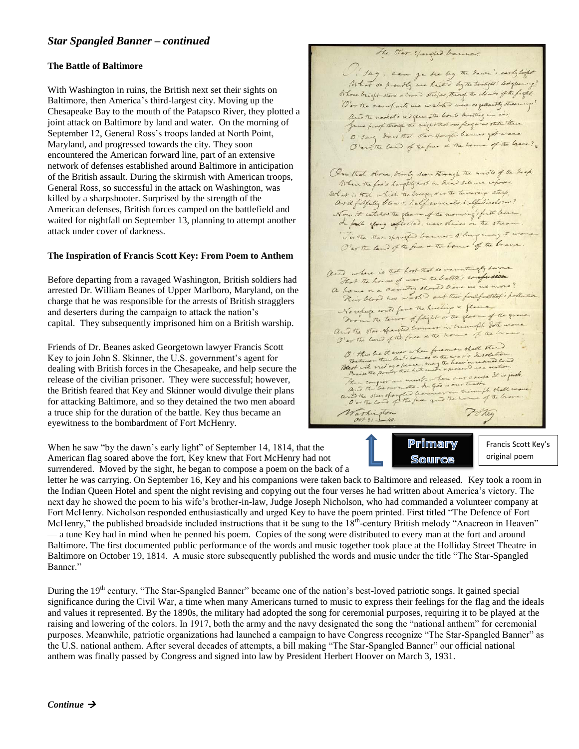## *Star Spangled Banner – continued*

### **The Battle of Baltimore**

With Washington in ruins, the British next set their sights on Baltimore, then America's third-largest city. Moving up the Chesapeake Bay to the mouth of the Patapsco River, they plotted a joint attack on Baltimore by land and water. On the morning of September 12, General Ross's troops landed at North Point, Maryland, and progressed towards the city. They soon encountered the American forward line, part of an extensive network of defenses established around Baltimore in anticipation of the British assault. During the skirmish with American troops, General Ross, so successful in the attack on Washington, was killed by a sharpshooter. Surprised by the strength of the American defenses, British forces camped on the battlefield and waited for nightfall on September 13, planning to attempt another attack under cover of darkness.

## **The Inspiration of Francis Scott Key: From Poem to Anthem**

Before departing from a ravaged Washington, British soldiers had arrested Dr. William Beanes of Upper Marlboro, Maryland, on the charge that he was responsible for the arrests of British stragglers and deserters during the campaign to attack the nation's capital. They subsequently imprisoned him on a British warship.

Friends of Dr. Beanes asked Georgetown lawyer Francis Scott Key to join John S. Skinner, the U.S. government's agent for dealing with British forces in the Chesapeake, and help secure the release of the civilian prisoner. They were successful; however, the British feared that Key and Skinner would divulge their plans for attacking Baltimore, and so they detained the two men aboard a truce ship for the duration of the battle. Key thus became an eyewitness to the bombardment of Fort McHenry.

When he saw "by the dawn's early light" of September 14, 1814, that the American flag soared above the fort, Key knew that Fort McHenry had not surrendered. Moved by the sight, he began to compose a poem on the back of a

O ! Jag , can ge bee by the down's early light Whose bright stars & brown strepes, through the clouds of the fight .<br>Our the ran parts we we take we are so getters to soming and the model's a glave the bomb bursting in air O Jan does that star spange because get were ? On that shore, dimly sear through the mists of the deep, Where the for's haughty host in head silence reposes , What is that which the breeze, o'er the towering steep, as it filledly blows, half conceals, half discloses? Now it catches the glear of the morning's first beam, Firste star spaughe banner silong may it was O'er the law of the face a the home of the brave and where is that host that so varintingly survey That The have of wars the battle's confusion That the have of ward the valle is no more?<br>a home is a country though their we no more?<br>Their blood has worsh? out their foulfestite, i pollution New view was force the hineling & glance No repage could fave the hereby & flame of the grave and the star spanner in triangle set were and the star shanged bouncer in triumph some wave The the love of our when freemen that there I all the more than the state of the more of the state of the comment of the comment of the comment of the comment of the comment of the comment of the comment of the comment of reserved Could There compare that he the mathe is presented in a matter of the first the power that we must a faith of the best was a matter of the best was a state of the best was a straight of the best was a straight of the best was a Warkington Poter

The Ster. spandled banner.



Francis Scott Key's original poem

letter he was carrying. On September 16, Key and his companions were taken back to Baltimore and released. Key took a room in the Indian Queen Hotel and spent the night revising and copying out the four verses he had written about America's victory. The next day he showed the poem to his wife's brother-in-law, Judge Joseph Nicholson, who had commanded a volunteer company at Fort McHenry. Nicholson responded enthusiastically and urged Key to have the poem printed. First titled "The Defence of Fort McHenry," the published broadside included instructions that it be sung to the  $18<sup>th</sup>$ -century British melody "Anacreon in Heaven" — a tune Key had in mind when he penned his poem. Copies of the song were distributed to every man at the fort and around Baltimore. The first documented public performance of the words and music together took place at the Holliday Street Theatre in Baltimore on October 19, 1814. A music store subsequently published the words and music under the title "The Star-Spangled Banner."

During the 19<sup>th</sup> century, "The Star-Spangled Banner" became one of the nation's best-loved patriotic songs. It gained special significance during the Civil War, a time when many Americans turned to music to express their feelings for the flag and the ideals and values it represented. By the 1890s, the military had adopted the song for ceremonial purposes, requiring it to be played at the raising and lowering of the colors. In 1917, both the army and the navy designated the song the "national anthem" for ceremonial purposes. Meanwhile, patriotic organizations had launched a campaign to have Congress recognize "The Star-Spangled Banner" as the U.S. national anthem. After several decades of attempts, a bill making "The Star-Spangled Banner" our official national anthem was finally passed by Congress and signed into law by President Herbert Hoover on March 3, 1931.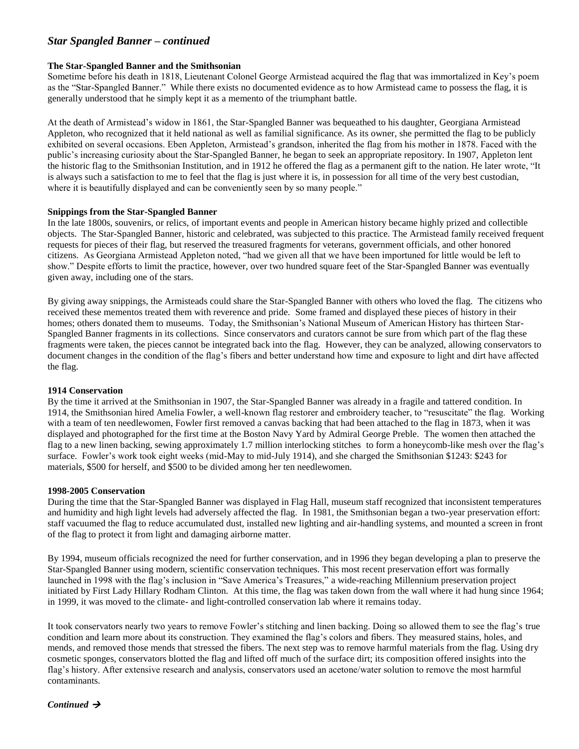## *Star Spangled Banner – continued*

#### **The Star-Spangled Banner and the Smithsonian**

Sometime before his death in 1818, Lieutenant Colonel George Armistead acquired the flag that was immortalized in Key's poem as the "Star-Spangled Banner." While there exists no documented evidence as to how Armistead came to possess the flag, it is generally understood that he simply kept it as a memento of the triumphant battle.

At the death of Armistead's widow in 1861, the Star-Spangled Banner was bequeathed to his daughter, Georgiana Armistead Appleton, who recognized that it held national as well as familial significance. As its owner, she permitted the flag to be publicly exhibited on several occasions. Eben Appleton, Armistead's grandson, inherited the flag from his mother in 1878. Faced with the public's increasing curiosity about the Star-Spangled Banner, he began to seek an appropriate repository. In 1907, Appleton lent the historic flag to the Smithsonian Institution, and in 1912 he offered the flag as a permanent gift to the nation. He later wrote, "It is always such a satisfaction to me to feel that the flag is just where it is, in possession for all time of the very best custodian, where it is beautifully displayed and can be conveniently seen by so many people."

### **Snippings from the Star-Spangled Banner**

In the late 1800s, souvenirs, or relics, of important events and people in American history became highly prized and collectible objects. The Star-Spangled Banner, historic and celebrated, was subjected to this practice. The Armistead family received frequent requests for pieces of their flag, but reserved the treasured fragments for veterans, government officials, and other honored citizens. As Georgiana Armistead Appleton noted, "had we given all that we have been importuned for little would be left to show." Despite efforts to limit the practice, however, over two hundred square feet of the Star-Spangled Banner was eventually given away, including one of the stars.

By giving away snippings, the Armisteads could share the Star-Spangled Banner with others who loved the flag. The citizens who received these mementos treated them with reverence and pride. Some framed and displayed these pieces of history in their homes; others donated them to museums. Today, the Smithsonian's National Museum of American History has thirteen Star-Spangled Banner fragments in its collections. Since conservators and curators cannot be sure from which part of the flag these fragments were taken, the pieces cannot be integrated back into the flag. However, they can be analyzed, allowing conservators to document changes in the condition of the flag's fibers and better understand how time and exposure to light and dirt have affected the flag.

#### **1914 Conservation**

By the time it arrived at the Smithsonian in 1907, the Star-Spangled Banner was already in a fragile and tattered condition. In 1914, the Smithsonian hired Amelia Fowler, a well-known flag restorer and embroidery teacher, to "resuscitate" the flag. Working with a team of ten needlewomen, Fowler first removed a canvas backing that had been attached to the flag in 1873, when it was displayed and photographed for the first time at the Boston Navy Yard by Admiral George Preble. The women then attached the flag to a new linen backing, sewing approximately 1.7 million interlocking stitches to form a honeycomb-like mesh over the flag's surface. Fowler's work took eight weeks (mid-May to mid-July 1914), and she charged the Smithsonian \$1243: \$243 for materials, \$500 for herself, and \$500 to be divided among her ten needlewomen.

#### **1998-2005 Conservation**

During the time that the Star-Spangled Banner was displayed in Flag Hall, museum staff recognized that inconsistent temperatures and humidity and high light levels had adversely affected the flag. In 1981, the Smithsonian began a two-year preservation effort: staff vacuumed the flag to reduce accumulated dust, installed new lighting and air-handling systems, and mounted a screen in front of the flag to protect it from light and damaging airborne matter.

By 1994, museum officials recognized the need for further conservation, and in 1996 they began developing a plan to preserve the Star-Spangled Banner using modern, scientific conservation techniques. This most recent preservation effort was formally launched in 1998 with the flag's inclusion in "Save America's Treasures," a wide-reaching Millennium preservation project initiated by First Lady Hillary Rodham Clinton. At this time, the flag was taken down from the wall where it had hung since 1964; in 1999, it was moved to the climate- and light-controlled conservation lab where it remains today.

It took conservators nearly two years to remove Fowler's stitching and linen backing. Doing so allowed them to see the flag's true condition and learn more about its construction. They examined the flag's colors and fibers. They measured stains, holes, and mends, and removed those mends that stressed the fibers. The next step was to remove harmful materials from the flag. Using dry cosmetic sponges, conservators blotted the flag and lifted off much of the surface dirt; its composition offered insights into the flag's history. After extensive research and analysis, conservators used an acetone/water solution to remove the most harmful contaminants.

## *Continued*  $\rightarrow$